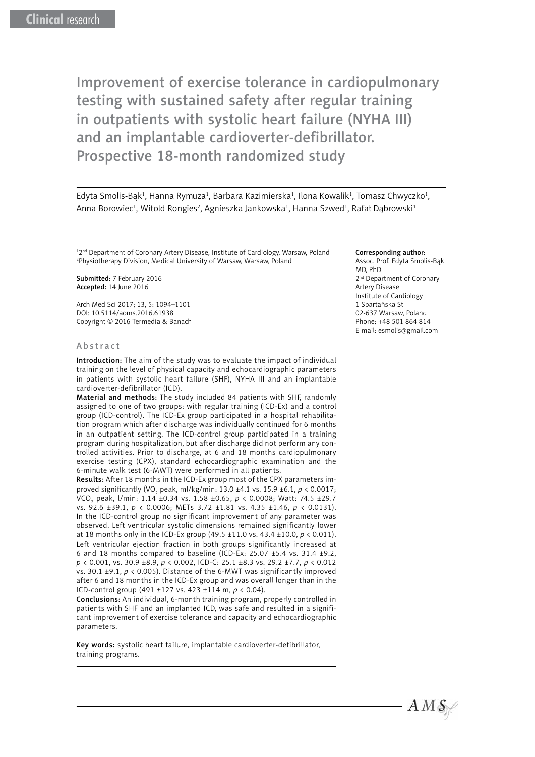Edyta Smolis-Bąk<sup>1</sup>, Hanna Rymuza<sup>1</sup>, Barbara Kazimierska<sup>1</sup>, Ilona Kowalik<sup>1</sup>, Tomasz Chwyczko<sup>1</sup>, Anna Borowiec<sup>1</sup>, Witold Rongies<sup>2</sup>, Agnieszka Jankowska<sup>1</sup>, Hanna Szwed<sup>1</sup>, Rafał Dąbrowski<sup>1</sup>

<sup>12nd</sup> Department of Coronary Artery Disease, Institute of Cardiology, Warsaw, Poland 2 Physiotherapy Division, Medical University of Warsaw, Warsaw, Poland

Submitted: 7 February 2016 Accepted: 14 June 2016

Arch Med Sci 2017; 13, 5: 1094–1101 DOI: 10.5114/aoms.2016.61938 Copyright © 2016 Termedia & Banach

#### Abstract

Introduction: The aim of the study was to evaluate the impact of individual training on the level of physical capacity and echocardiographic parameters in patients with systolic heart failure (SHF), NYHA III and an implantable cardioverter-defibrillator (ICD).

Material and methods: The study included 84 patients with SHF, randomly assigned to one of two groups: with regular training (ICD-Ex) and a control group (ICD-control). The ICD-Ex group participated in a hospital rehabilitation program which after discharge was individually continued for 6 months in an outpatient setting. The ICD-control group participated in a training program during hospitalization, but after discharge did not perform any controlled activities. Prior to discharge, at 6 and 18 months cardiopulmonary exercise testing (CPX), standard echocardiographic examination and the 6-minute walk test (6-MWT) were performed in all patients.

Results: After 18 months in the ICD-Ex group most of the CPX parameters improved significantly (VO<sub>2</sub> peak, ml/kg/min: 13.0 ±4.1 vs. 15.9 ±6.1, *p* < 0.0017; VCO2 peak, l/min: 1.14 ±0.34 vs. 1.58 ±0.65, *p* < 0.0008; Watt: 74.5 ±29.7 vs. 92.6 ±39.1, *p* < 0.0006; METs 3.72 ±1.81 vs. 4.35 ±1.46, *p* < 0.0131). In the ICD-control group no significant improvement of any parameter was observed. Left ventricular systolic dimensions remained significantly lower at 18 months only in the ICD-Ex group (49.5 ±11.0 vs. 43.4 ±10.0, *p* < 0.011). Left ventricular ejection fraction in both groups significantly increased at 6 and 18 months compared to baseline (ICD-Ex: 25.07 ±5.4 vs. 31.4 ±9.2, *p* < 0.001, vs. 30.9 ±8.9, *p* < 0.002, ICD-C: 25.1 ±8.3 vs. 29.2 ±7.7, *p* < 0.012 vs. 30.1 ±9.1, *p* < 0.005). Distance of the 6-MWT was significantly improved after 6 and 18 months in the ICD-Ex group and was overall longer than in the ICD-control group (491 ±127 vs. 423 ±114 m, *p* < 0.04).

Conclusions: An individual, 6-month training program, properly controlled in patients with SHF and an implanted ICD, was safe and resulted in a significant improvement of exercise tolerance and capacity and echocardiographic parameters.

Key words: systolic heart failure, implantable cardioverter-defibrillator, training programs.

#### Corresponding author:

Assoc. Prof. Edyta Smolis-Bąk MD, PhD 2<sup>nd</sup> Department of Coronary Artery Disease Institute of Cardiology 1 Spartańska St 02-637 Warsaw, Poland Phone: +48 501 864 814 E-mail: esmolis@gmail.com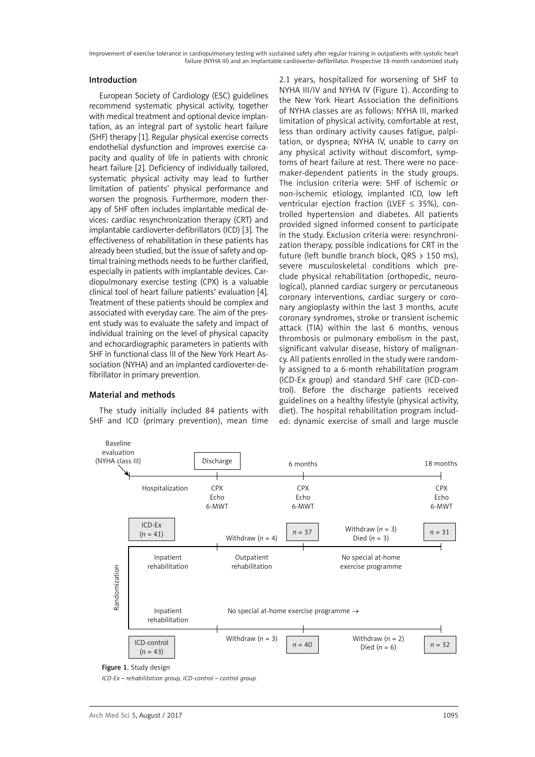### Introduction

European Society of Cardiology (ESC) guidelines recommend systematic physical activity, together with medical treatment and optional device implantation, as an integral part of systolic heart failure (SHF) therapy [1]. Regular physical exercise corrects endothelial dysfunction and improves exercise capacity and quality of life in patients with chronic heart failure [2]. Deficiency of individually tailored, systematic physical activity may lead to further limitation of patients' physical performance and worsen the prognosis. Furthermore, modern therapy of SHF often includes implantable medical devices: cardiac resynchronization therapy (CRT) and implantable cardioverter-defibrillators (ICD) [3]. The effectiveness of rehabilitation in these patients has already been studied, but the issue of safety and optimal training methods needs to be further clarified, especially in patients with implantable devices. Cardiopulmonary exercise testing (CPX) is a valuable clinical tool of heart failure patients' evaluation [4]. Treatment of these patients should be complex and associated with everyday care. The aim of the present study was to evaluate the safety and impact of individual training on the level of physical capacity and echocardiographic parameters in patients with SHF in functional class III of the New York Heart Association (NYHA) and an implanted cardioverter-defibrillator in primary prevention.

#### Material and methods

The study initially included 84 patients with SHF and ICD (primary prevention), mean time

2.1 years, hospitalized for worsening of SHF to NYHA III/IV and NYHA IV (Figure 1). According to the New York Heart Association the definitions of NYHA classes are as follows: NYHA III, marked limitation of physical activity, comfortable at rest, less than ordinary activity causes fatigue, palpitation, or dyspnea; NYHA IV, unable to carry on any physical activity without discomfort, symptoms of heart failure at rest. There were no pacemaker-dependent patients in the study groups. The inclusion criteria were: SHF of ischemic or non-ischemic etiology, implanted ICD, low left ventricular ejection fraction (LVEF  $\leq$  35%), controlled hypertension and diabetes. All patients provided signed informed consent to participate in the study. Exclusion criteria were: resynchronization therapy, possible indications for CRT in the future (left bundle branch block, QRS > 150 ms), severe musculoskeletal conditions which preclude physical rehabilitation (orthopedic, neurological), planned cardiac surgery or percutaneous coronary interventions, cardiac surgery or coronary angioplasty within the last 3 months, acute coronary syndromes, stroke or transient ischemic attack (TIA) within the last 6 months, venous thrombosis or pulmonary embolism in the past, significant valvular disease, history of malignancy. All patients enrolled in the study were randomly assigned to a 6-month rehabilitation program (ICD-Ex group) and standard SHF care (ICD-control). Before the discharge patients received guidelines on a healthy lifestyle (physical activity, diet). The hospital rehabilitation program included: dynamic exercise of small and large muscle



### Figure 1. Study design

*ICD-Ex – rehabilitation group, ICD-control – control group.*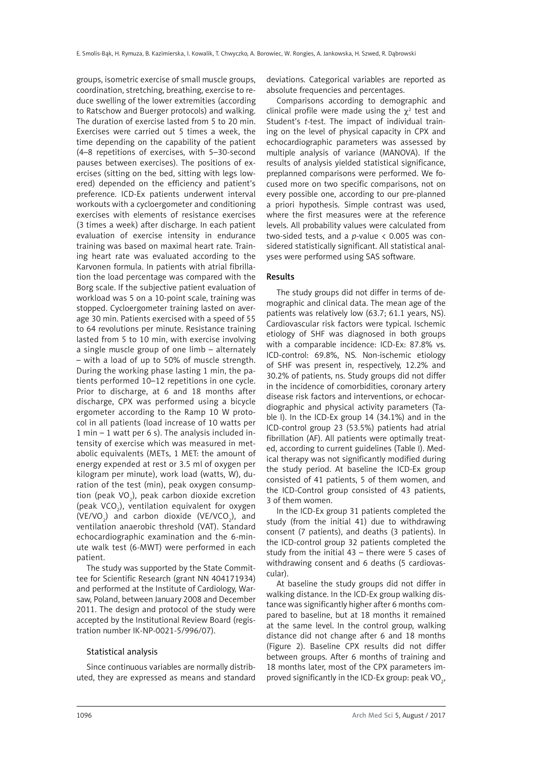groups, isometric exercise of small muscle groups, coordination, stretching, breathing, exercise to reduce swelling of the lower extremities (according to Ratschow and Buerger protocols) and walking. The duration of exercise lasted from 5 to 20 min. Exercises were carried out 5 times a week, the time depending on the capability of the patient (4–8 repetitions of exercises, with 5–30-second pauses between exercises). The positions of exercises (sitting on the bed, sitting with legs lowered) depended on the efficiency and patient's preference. ICD-Ex patients underwent interval workouts with a cycloergometer and conditioning exercises with elements of resistance exercises (3 times a week) after discharge. In each patient evaluation of exercise intensity in endurance training was based on maximal heart rate. Training heart rate was evaluated according to the Karvonen formula. In patients with atrial fibrillation the load percentage was compared with the Borg scale. If the subjective patient evaluation of workload was 5 on a 10-point scale, training was stopped. Cycloergometer training lasted on average 30 min. Patients exercised with a speed of 55 to 64 revolutions per minute. Resistance training lasted from 5 to 10 min, with exercise involving a single muscle group of one limb – alternately – with a load of up to 50% of muscle strength. During the working phase lasting 1 min, the patients performed 10–12 repetitions in one cycle. Prior to discharge, at 6 and 18 months after discharge, CPX was performed using a bicycle ergometer according to the Ramp 10 W protocol in all patients (load increase of 10 watts per  $1$  min –  $1$  watt per 6 s). The analysis included intensity of exercise which was measured in metabolic equivalents (METs, 1 MET: the amount of energy expended at rest or 3.5 ml of oxygen per kilogram per minute), work load (watts, W), duration of the test (min), peak oxygen consumption (peak VO<sub>2</sub>), peak carbon dioxide excretion (peak VCO<sub>2</sub>), ventilation equivalent for oxygen (VE/VO<sub>2</sub>) and carbon dioxide (VE/VCO<sub>2</sub>), and ventilation anaerobic threshold (VAT). Standard echocardiographic examination and the 6-minute walk test (6-MWT) were performed in each patient.

The study was supported by the State Committee for Scientific Research (grant NN 404171934) and performed at the Institute of Cardiology, Warsaw, Poland, between January 2008 and December 2011. The design and protocol of the study were accepted by the Institutional Review Board (registration number IK-NP-0021-5/996/07).

#### Statistical analysis

Since continuous variables are normally distributed, they are expressed as means and standard deviations. Categorical variables are reported as absolute frequencies and percentages.

Comparisons according to demographic and clinical profile were made using the  $\chi^2$  test and Student's *t*-test. The impact of individual training on the level of physical capacity in CPX and echocardiographic parameters was assessed by multiple analysis of variance (MANOVA). If the results of analysis yielded statistical significance, preplanned comparisons were performed. We focused more on two specific comparisons, not on every possible one, according to our pre-planned a priori hypothesis. Simple contrast was used, where the first measures were at the reference levels. All probability values were calculated from two-sided tests, and a *p*-value < 0.005 was considered statistically significant. All statistical analyses were performed using SAS software.

### Results

The study groups did not differ in terms of demographic and clinical data. The mean age of the patients was relatively low (63.7; 61.1 years, NS). Cardiovascular risk factors were typical. Ischemic etiology of SHF was diagnosed in both groups with a comparable incidence: ICD-Ex: 87.8% vs. ICD-control: 69.8%, NS. Non-ischemic etiology of SHF was present in, respectively, 12.2% and 30.2% of patients, ns. Study groups did not differ in the incidence of comorbidities, coronary artery disease risk factors and interventions, or echocardiographic and physical activity parameters (Table I). In the ICD-Ex group 14 (34.1%) and in the ICD-control group 23 (53.5%) patients had atrial fibrillation (AF). All patients were optimally treated, according to current guidelines (Table I). Medical therapy was not significantly modified during the study period. At baseline the ICD-Ex group consisted of 41 patients, 5 of them women, and the ICD-Control group consisted of 43 patients, 3 of them women.

In the ICD-Ex group 31 patients completed the study (from the initial 41) due to withdrawing consent (7 patients), and deaths (3 patients). In the ICD-control group 32 patients completed the study from the initial 43 – there were 5 cases of withdrawing consent and 6 deaths (5 cardiovascular).

At baseline the study groups did not differ in walking distance. In the ICD-Ex group walking distance was significantly higher after 6 months compared to baseline, but at 18 months it remained at the same level. In the control group, walking distance did not change after 6 and 18 months (Figure 2). Baseline CPX results did not differ between groups. After 6 months of training and 18 months later, most of the CPX parameters improved significantly in the ICD-Ex group: peak VO<sub>2</sub>,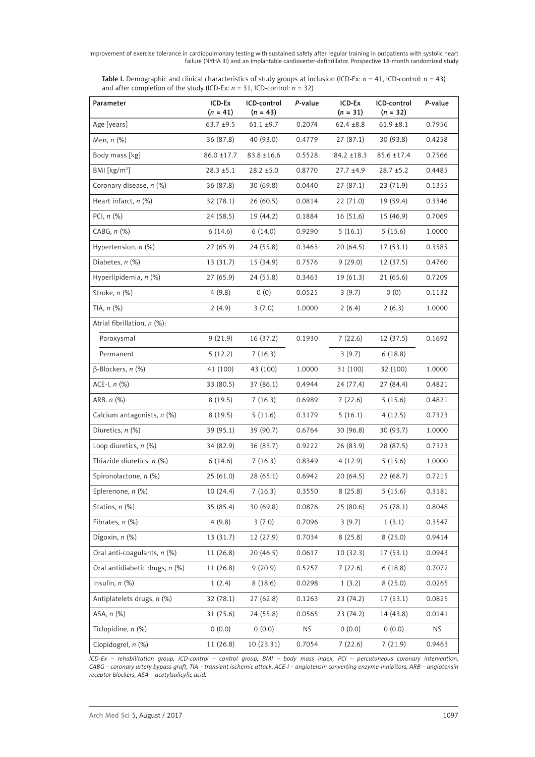| <b>Table I.</b> Demographic and clinical characteristics of study groups at inclusion (ICD-Ex: $n = 41$ , ICD-control: $n = 43$ ) |  |
|-----------------------------------------------------------------------------------------------------------------------------------|--|
| and after completion of the study (ICD-Ex: $n = 31$ , ICD-control: $n = 32$ )                                                     |  |

| Parameter                      | ICD-Ex<br>$(n = 41)$ | ICD-control<br>$(n = 43)$ | P-value   | ICD-Ex<br>$(n = 31)$ | ICD-control<br>$(n = 32)$ | P-value   |
|--------------------------------|----------------------|---------------------------|-----------|----------------------|---------------------------|-----------|
| Age [years]                    | $63.7 + 9.5$         | $61.1 \pm 9.7$            | 0.2074    | $62.4 \pm 8.8$       | $61.9 \pm 8.1$            | 0.7956    |
| Men, $n$ $(\%)$                | 36 (87.8)            | 40 (93.0)                 | 0.4779    | 27(87.1)             | 30(93.8)                  | 0.4258    |
| Body mass [kg]                 | 86.0 ±17.7           | $83.8 \pm 16.6$           | 0.5528    | $84.2 \pm 18.3$      | $85.6 \pm 17.4$           | 0.7566    |
| BM [kg/m <sup>2</sup> ]        | $28.3 \pm 5.1$       | $28.2 \pm 5.0$            | 0.8770    | $27.7 \pm 4.9$       | $28.7 \pm 5.2$            | 0.4485    |
| Coronary disease, n (%)        | 36 (87.8)            | 30(69.8)                  | 0.0440    | 27(87.1)             | 23 (71.9)                 | 0.1355    |
| Heart infarct, $n$ (%)         | 32(78.1)             | 26(60.5)                  | 0.0814    | 22(71.0)             | 19 (59.4)                 | 0.3346    |
| PCI, $n$ $(\%)$                | 24 (58.5)            | 19 (44.2)                 | 0.1884    | 16(51.6)             | 15 (46.9)                 | 0.7069    |
| CABG, $n$ $%$                  | 6(14.6)              | 6(14.0)                   | 0.9290    | 5(16.1)              | 5(15.6)                   | 1.0000    |
| Hypertension, $n$ (%)          | 27(65.9)             | 24 (55.8)                 | 0.3463    | 20 (64.5)            | 17(53.1)                  | 0.3585    |
| Diabetes, $n$ $%$              | 13 (31.7)            | 15 (34.9)                 | 0.7576    | 9(29.0)              | 12 (37.5)                 | 0.4760    |
| Hyperlipidemia, n (%)          | 27 (65.9)            | 24(55.8)                  | 0.3463    | 19(61.3)             | 21(65.6)                  | 0.7209    |
| Stroke, n (%)                  | 4(9.8)               | 0(0)                      | 0.0525    | 3(9.7)               | 0(0)                      | 0.1132    |
| TIA, $n$ $(\%)$                | 2(4.9)               | 3(7.0)                    | 1.0000    | 2(6.4)               | 2(6.3)                    | 1.0000    |
| Atrial fibrillation, n (%):    |                      |                           |           |                      |                           |           |
| Paroxysmal                     | 9(21.9)              | 16 (37.2)                 | 0.1930    | 7(22.6)              | 12 (37.5)                 | 0.1692    |
| Permanent                      | 5(12.2)              | 7(16.3)                   |           | 3(9.7)               | 6(18.8)                   |           |
| $\beta$ -Blockers, n (%)       | 41 (100)             | 43 (100)                  | 1.0000    | 31 (100)             | 32 (100)                  | 1.0000    |
| ACE-I, $n$ $(\%)$              | 33 (80.5)            | 37(86.1)                  | 0.4944    | 24 (77.4)            | 27 (84.4)                 | 0.4821    |
| ARB, $n$ $%$                   | 8(19.5)              | 7(16.3)                   | 0.6989    | 7(22.6)              | 5(15.6)                   | 0.4821    |
| Calcium antagonists, n (%)     | 8(19.5)              | 5(11.6)                   | 0.3179    | 5(16.1)              | 4(12.5)                   | 0.7323    |
| Diuretics, n (%)               | 39 (95.1)            | 39 (90.7)                 | 0.6764    | 30(96.8)             | 30 (93.7)                 | 1.0000    |
| Loop diuretics, $n$ (%)        | 34 (82.9)            | 36 (83.7)                 | 0.9222    | 26 (83.9)            | 28 (87.5)                 | 0.7323    |
| Thiazide diuretics, $n$ (%)    | 6(14.6)              | 7(16.3)                   | 0.8349    | 4(12.9)              | 5(15.6)                   | 1.0000    |
| Spironolactone, n (%)          | 25(61.0)             | 28(65.1)                  | 0.6942    | 20(64.5)             | 22(68.7)                  | 0.7215    |
| Eplerenone, n (%)              | 10(24.4)             | 7(16.3)                   | 0.3550    | 8(25.8)              | 5(15.6)                   | 0.3181    |
| Statins, n (%)                 | 35 (85.4)            | 30 (69.8)                 | 0.0876    | 25 (80.6)            | 25 (78.1)                 | 0.8048    |
| Fibrates, $n$ (%)              | 4(9.8)               | 3(7.0)                    | 0.7096    | 3(9.7)               | 1(3.1)                    | 0.3547    |
| Digoxin, $n$ (%)               | 13 (31.7)            | 12 (27.9)                 | 0.7034    | 8(25.8)              | 8(25.0)                   | 0.9414    |
| Oral anti-coagulants, n (%)    | 11 (26.8)            | 20 (46.5)                 | 0.0617    | 10(32.3)             | 17(53.1)                  | 0.0943    |
| Oral antidiabetic drugs, n (%) | 11 (26.8)            | 9(20.9)                   | 0.5257    | 7(22.6)              | 6(18.8)                   | 0.7072    |
| Insulin, $n$ $(\%)$            | 1(2.4)               | 8(18.6)                   | 0.0298    | 1(3.2)               | 8(25.0)                   | 0.0265    |
| Antiplatelets drugs, n (%)     | 32(78.1)             | 27 (62.8)                 | 0.1263    | 23 (74.2)            | 17(53.1)                  | 0.0825    |
| ASA, n (%)                     | 31 (75.6)            | 24 (55.8)                 | 0.0565    | 23 (74.2)            | 14 (43.8)                 | 0.0141    |
| Ticlopidine, n (%)             | 0(0.0)               | 0(0.0)                    | <b>NS</b> | 0(0.0)               | 0(0.0)                    | <b>NS</b> |
| Clopidogrel, n (%)             | 11 (26.8)            | 10 (23.31)                | 0.7054    | 7(22.6)              | 7(21.9)                   | 0.9463    |

*ICD-Ex – rehabilitation group, ICD-control – control group, BMI – body mass index, PCI – percutaneous coronary intervention, CABG – coronary artery bypass graft, TIA – transient ischemic attack, ACE-I – angiotensin converting enzyme-inhibitors, ARB – angiotensin receptor blockers, ASA – acetylsalicylic acid.*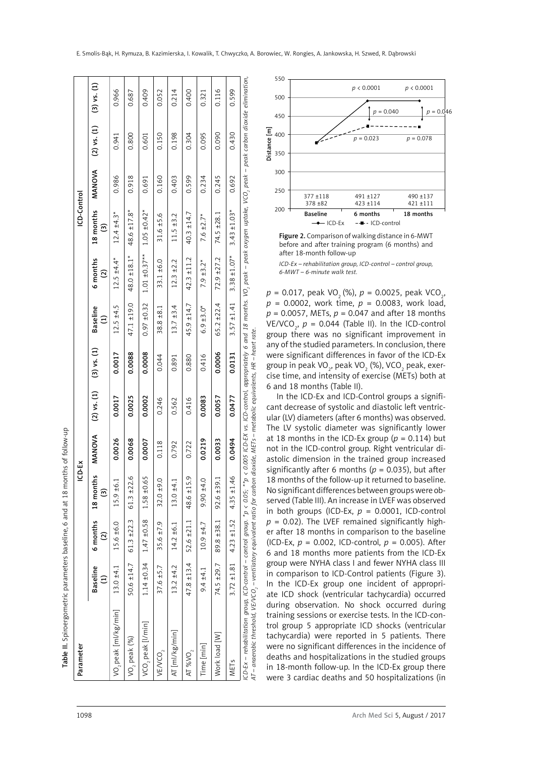| l           |
|-------------|
|             |
|             |
| :           |
|             |
|             |
|             |
|             |
|             |
|             |
|             |
| $5 - 6$     |
|             |
|             |
|             |
|             |
| į           |
|             |
|             |
|             |
|             |
|             |
|             |
| ;<br>;      |
|             |
| j           |
|             |
| ֚֚֬         |
|             |
|             |
|             |
|             |
|             |
| :           |
|             |
|             |
|             |
| .<br>.<br>. |
|             |
|             |
|             |
|             |
|             |
|             |
|             |
|             |
|             |
|             |
|             |
|             |
|             |
|             |
| י<br>!      |
|             |
| I           |
| Ì           |
|             |
|             |
|             |
|             |
|             |
|             |
|             |

 $v - up$ 

|             | $(3)$ vs. $(1)$                                      | 0.966                            | 0.687              | 0.409               | 0.052              | 0.214          | 0.400             | 0.321           | 0.116         | 0.599             | 550<br>p < 0.0001<br>p < 0.0001<br>500                                                                                                                                                                                                                                                                                                                                                                                                                                                                           |
|-------------|------------------------------------------------------|----------------------------------|--------------------|---------------------|--------------------|----------------|-------------------|-----------------|---------------|-------------------|------------------------------------------------------------------------------------------------------------------------------------------------------------------------------------------------------------------------------------------------------------------------------------------------------------------------------------------------------------------------------------------------------------------------------------------------------------------------------------------------------------------|
|             |                                                      |                                  |                    |                     |                    |                |                   |                 |               |                   | $p = 0.040$<br>$p = 0.0$<br>450                                                                                                                                                                                                                                                                                                                                                                                                                                                                                  |
|             | $(2)$ vs. $(1)$                                      | 0.941                            | 0.800              | 0.601               | 0.150              | 0.198          | 0.304             | 0.095           | 0.090         | 0.430             | Distance [m]<br>400<br>0.023<br>$p = 0.078$<br>350                                                                                                                                                                                                                                                                                                                                                                                                                                                               |
|             | <b>MANOVA</b>                                        | 0.986                            | 0.918              | 0.691               | 0.160              | 0.403          | 0.599             | 0.234           | 0.245         | 0.692             | 300<br>250                                                                                                                                                                                                                                                                                                                                                                                                                                                                                                       |
| ICD-Control |                                                      |                                  |                    |                     |                    |                |                   |                 |               |                   | $377 + 118$<br>491 ±127<br>490 ±137<br>378 ±82<br>423 ±114<br>421 ±111<br>$200 -$                                                                                                                                                                                                                                                                                                                                                                                                                                |
|             | months                                               | $±4.3*$                          |                    | $±0.42*$            | ±5.6               | ±3.2           |                   |                 |               | $±1.03*$          | <b>Baseline</b><br>6 months<br>18 months<br>$\rightarrow$ ICD-Ex<br>--- ICD-control                                                                                                                                                                                                                                                                                                                                                                                                                              |
|             | $\widehat{\mathfrak{S}}$<br>$\frac{8}{18}$           | 12.4                             | $48.6 \pm 17.8$ *  | 1.05                | 31.6               | 11.5           | $40.3 \pm 14.7$   | $7.6 \pm 2.7$ * | 74.5 ±28.1    | 3.43              | Figure 2. Comparison of walking distance in 6-MWT<br>before and after training program (6 months) and<br>after 18-month follow-up                                                                                                                                                                                                                                                                                                                                                                                |
|             | 6 months<br>$\widehat{\omega}$                       | $12.5 \pm 4.4*$                  | 48.0 ±18.1         | $±0.37**$<br>1.01   | ±6.0<br>33.1       | ±2.2<br>12.3   | ±11.2<br>42.3     | $7.9 \pm 3.2*$  | ±27.2<br>72.9 | $3.38 \pm 1.07$ * | ICD-Ex - rehabilitation group, ICD-control - control group,<br>6-MWT - 6-minute walk test.<br>$p = 0.017$ , peak VO <sub>2</sub> (%), $p = 0.0025$ , peak VCO <sub>2</sub> ,                                                                                                                                                                                                                                                                                                                                     |
|             | <b>Baseline</b><br>$\widehat{E}$                     | ±4.5<br>12.5                     | ±19.0<br>47.1      | ±0.32<br>0.97       | ±8.1<br>38.8       | ±3.4<br>13.7   | ±14.7<br>45.9     | $6.9 \pm 3.0*$  | ±22.4<br>65.2 | ±1.41<br>3.57     | $p = 0.0002$ , work time, $p = 0.0083$ , work load,<br>$p = 0.0057$ , METs, $p = 0.047$ and after 18 months<br>VE/VCO <sub>2</sub> , $p = 0.044$ (Table II). In the ICD-control<br>group there was no significant improvement in                                                                                                                                                                                                                                                                                 |
|             | $(3)$ vs. $(1)$                                      | 0.0017                           | 0.0088             | 0.0008              | 0.044              | 0.891          | 0.880             | 0.416           | 0.0006        | 0.0131            | any of the studied parameters. In conclusion, there<br>were significant differences in favor of the ICD-Ex<br>group in peak VO <sub>2</sub> , peak VO <sub>2</sub> (%), VCO <sub>2</sub> peak, exer-<br>cise time, and intensity of exercise (METs) both at                                                                                                                                                                                                                                                      |
|             | $(2)$ vs. $(1)$                                      | 0.0017                           | 0.0025             | 0.0002              | 0.246              | 0.562          | 0.416             | 0.0083          | 0.0057        | 0.0477            | dioxide, METs - metabolic equivalents, HR - heart rate.<br>6 and 18 months (Table II).<br>In the ICD-Ex and ICD-Control groups a signifi-<br>cant decrease of systolic and diastolic left ventric-<br>ular (LV) diameters (after 6 months) was observed.                                                                                                                                                                                                                                                         |
|             | MANOVA                                               | 0.0026                           | 0.0068             | 0.0007              | 0.118              | 0.792          | 0.722             | 0.0219          | 0.0033        | 0.0494            | The LV systolic diameter was significantly lower<br>at 18 months in the ICD-Ex group ( $p = 0.114$ ) but<br>not in the ICD-control group. Right ventricular di-<br>astolic dimension in the trained group increased                                                                                                                                                                                                                                                                                              |
| CD-Ex       | months<br>$\widehat{\mathfrak{S}}$<br>$\frac{8}{18}$ | $5.9 + 6.1$                      | w<br>±22.6<br>61.3 | $-0.61$<br>1.58     | $32.0 \pm 9.0$     | $13.0 + 4.1$   | 48.6 ±15.         | $0.90 + 0.0$    | ±39.<br>92.6  | ±1.46<br>4.35     | significantly after 6 months ( $p = 0.035$ ), but after<br>18 months of the follow-up it returned to baseline.<br>No significant differences between groups were ob-<br>served (Table III). An increase in LVEF was observed<br>in both groups (ICD-Ex, $p = 0.0001$ , ICD-control                                                                                                                                                                                                                               |
|             | 6 months<br>$\widehat{\Omega}$                       | 0.979<br>ட்                      | ±22.3<br>61.3      | ±0.58<br>1.47       | ±7.9<br>35.6       | $14.2 \pm 6.1$ | $52.6 \pm 21.1$   | $10.9 + 4.7$    | ±38.1<br>89.8 | ±1.52<br>4.23     | $p = 0.02$ ). The LVEF remained significantly high-<br>er after 18 months in comparison to the baseline<br>(ICD-Ex, $p = 0.002$ , ICD-control, $p = 0.005$ ). After<br>6 and 18 months more patients from the ICD-Ex                                                                                                                                                                                                                                                                                             |
|             | <b>Baseline</b><br>$\widehat{\Xi}$                   | $.0 + 4.1$<br>13.                | $50.6 \pm 14.7$    | ±0.34<br>1.14       | ±5.7<br>37.6       | ±4.2<br>13.2   | $47.8 \pm 13.4$   | ±4.1<br>9.4     | 74.5 ±29.7    | ±1.81<br>3.72     | group were NYHA class I and fewer NYHA class III<br>in comparison to ICD-Control patients (Figure 3).<br>In the ICD-Ex group one incident of appropri-<br>ate ICD shock (ventricular tachycardia) occurred                                                                                                                                                                                                                                                                                                       |
| Parameter   |                                                      | VO <sub>2</sub> peak [ml/kg/min] | $VO2$ peak $(%)$   | $VCO2$ peak [l/min] | VEVCO <sub>2</sub> | AT [ml/kg/min] | AT %VO $_{\rm 2}$ | Time [min]      | Work load [W] | METs              | AT – anaerobic threshold, VE/VCO , – ventilatory equivalent ratio for carbon<br>during observation. No shock occurred during<br>training sessions or exercise tests. In the ICD-con-<br>trol group 5 appropriate ICD shocks (ventricular<br>tachycardia) were reported in 5 patients. There<br>were no significant differences in the incidence of<br>deaths and hospitalizations in the studied groups<br>in 18-month follow-up. In the ICD-Ex group there<br>were 3 cardiac deaths and 50 hospitalizations (in |
| 1098        |                                                      |                                  |                    |                     |                    |                |                   |                 |               |                   | Arch Med Sci 5, August / 2017                                                                                                                                                                                                                                                                                                                                                                                                                                                                                    |



Figure 2. Comparison of walking distance in 6-MWT before and after training program (6 months) and after 18-month follow-up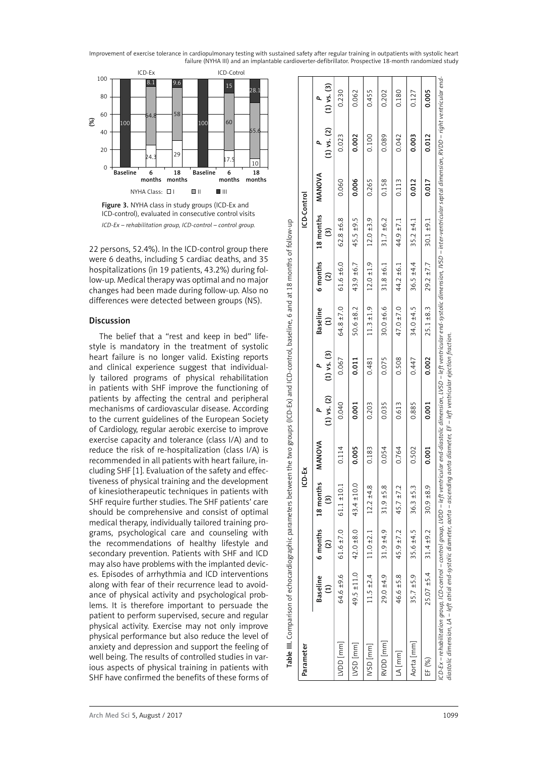



22 persons, 52.4%). In the ICD-control group there were 6 deaths, including 5 cardiac deaths, and 35 hospitalizations (in 19 patients, 43.2%) during fol low-up. Medical therapy was optimal and no major changes had been made during follow-up. Also no differences were detected between groups (NS).

# Discussion

The belief that a "rest and keep in bed" lifestyle is mandatory in the treatment of systolic heart failure is no longer valid. Existing reports and clinical experience suggest that individual ly tailored programs of physical rehabilitation in patients with SHF improve the functioning of patients by affecting the central and peripheral mechanisms of cardiovascular disease. According to the current guidelines of the European Society of Cardiology, regular aerobic exercise to improve exercise capacity and tolerance (class I/A) and to reduce the risk of re-hospitalization (class I/A) is recommended in all patients with heart failure, in cluding SHF [1]. Evaluation of the safety and effec tiveness of physical training and the development of kinesiotherapeutic techniques in patients with SHF require further studies. The SHF patients' care should be comprehensive and consist of optimal medical therapy, individually tailored training pro grams, psychological care and counseling with the recommendations of healthy lifestyle and secondary prevention. Patients with SHF and ICD may also have problems with the implanted devic es. Episodes of arrhythmia and ICD interventions along with fear of their recurrence lead to avoid ance of physical activity and psychological prob lems. It is therefore important to persuade the patient to perform supervised, secure and regular physical activity. Exercise may not only improve physical performance but also reduce the level of anxiety and depression and support the feeling of well being. The results of controlled studies in var ious aspects of physical training in patients with SHF have confirmed the benefits of these forms of

| Parameter                                                                                                                                                                                                                                                                                                                                                             |                 |                 | ICD-EX         |        |                      |                 |                                  |                                | ICD-Control    |        |                      |                      |
|-----------------------------------------------------------------------------------------------------------------------------------------------------------------------------------------------------------------------------------------------------------------------------------------------------------------------------------------------------------------------|-----------------|-----------------|----------------|--------|----------------------|-----------------|----------------------------------|--------------------------------|----------------|--------|----------------------|----------------------|
|                                                                                                                                                                                                                                                                                                                                                                       | <b>Baseline</b> | 6 months<br>ତ୍ର | 18 months<br>ම | MANOVA | $(1)$ vs. $(2)$<br>۹ | $(1)$ vs. $(3)$ | <b>Baseline</b><br>$\widehat{z}$ | 6 months<br>$\widehat{\alpha}$ | 18 months<br>ම | MANOVA | $(1)$ vs. $(2)$<br>۹ | $(1)$ vs. $(3)$<br>۵ |
| [mm]<br>[mm]                                                                                                                                                                                                                                                                                                                                                          | 94.6 ±9.6       | $61.6 \pm 7.0$  | $61.1 + 10.1$  | 0.114  | 0.040                | 0.067           | 64.8 ±7.0                        | $61.6 + 6.0$                   | $62.8 + 6.8$   | 0.060  | 0.023                | 0.230                |
| [mm] QSV                                                                                                                                                                                                                                                                                                                                                              | 49.5 ±11.0      | $42.0 \pm 8.0$  | 43.4 ±10.0     | 0.005  | 0.001                | 0.011           | $50.6 \pm 8.2$                   | 43.9 ±6.7                      | 45.5 ±9.5      | 0.006  | 0.002                | 0.062                |
| [mm]<br>USD                                                                                                                                                                                                                                                                                                                                                           | $11.5 \pm 2.4$  | $11.0 \pm 2.1$  | $12.2 \pm 4.8$ | 0.183  | 0.203                | 0.481           | $11.3 \pm 1.9$                   | $12.0 \pm 1.9$                 | $12.0 + 3.9$   | 0.265  | 0.100                | 0.455                |
| RVDD [mm]                                                                                                                                                                                                                                                                                                                                                             | $29.0 + 4.9$    | $31.9 + 4.9$    | $31.9 + 5.8$   | 0.054  | 0.035                | 0.075           | 30.0 ±6.6                        | $31.8 + 6.1$                   | $31.7 + 6.2$   | 0.158  | 0.089                | 0.202                |
| $LA$ [mm]                                                                                                                                                                                                                                                                                                                                                             | 46.6 ±5.8       | $45.9 \pm 7.2$  | $45.7 \pm 7.2$ | 0.764  | 0.613                | 0.508           | 47.0 ±7.0                        | 44.2 ±6.1                      | 44.9 ±7.1      | 0.113  | 0.042                | 0.180                |
| Aorta [mm]                                                                                                                                                                                                                                                                                                                                                            | $35.7 \pm 5.9$  | 35.6 ±4.5       | $36.3 + 5.3$   | 0.502  | 0.885                | 0.447           | 34.0 ±4.5                        | $36.5 + 4.4$                   | $35.2 + 4.1$   | 0.012  | 0.003                | 0.127                |
| EF (%)                                                                                                                                                                                                                                                                                                                                                                | $25.07 + 5.4$   | $31.4 + 9.2$    | 30.9 ±8.9      | 0.001  | 0.001                | 0.002           | $25.1 + 8.3$                     | $29.2 \pm 7.7$                 | $30.1 + 9.1$   | 0.017  | 0.012                | 0.005                |
| iCD-Ex – rehabilitation group, ICD-control – control group, LVDD – left ventricular end-diastion, LVSD – left ventricular end-systolic dimension, IVSD – inter-ventricular septal dimension, RVDD – right ventricular end-<br>diastolic dimension, LA – left atrial end-systolic diameter, aorta – ascending aorta diameter, EF – left ventricular ejection fraction. |                 |                 |                |        |                      |                 |                                  |                                |                |        |                      |                      |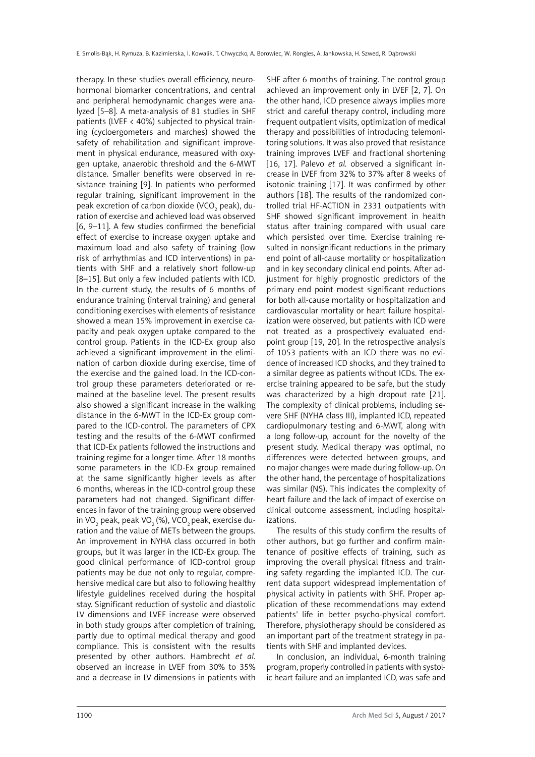therapy. In these studies overall efficiency, neurohormonal biomarker concentrations, and central and peripheral hemodynamic changes were analyzed [5–8]. A meta-analysis of 81 studies in SHF patients (LVEF < 40%) subjected to physical training (cycloergometers and marches) showed the safety of rehabilitation and significant improvement in physical endurance, measured with oxygen uptake, anaerobic threshold and the 6-MWT distance. Smaller benefits were observed in resistance training [9]. In patients who performed regular training, significant improvement in the peak excretion of carbon dioxide (VCO $_{\rm _2}$  peak), duration of exercise and achieved load was observed [6, 9–11]. A few studies confirmed the beneficial effect of exercise to increase oxygen uptake and maximum load and also safety of training (low risk of arrhythmias and ICD interventions) in patients with SHF and a relatively short follow-up [8–15]. But only a few included patients with ICD. In the current study, the results of 6 months of endurance training (interval training) and general conditioning exercises with elements of resistance showed a mean 15% improvement in exercise capacity and peak oxygen uptake compared to the control group. Patients in the ICD-Ex group also achieved a significant improvement in the elimination of carbon dioxide during exercise, time of the exercise and the gained load. In the ICD-control group these parameters deteriorated or remained at the baseline level. The present results also showed a significant increase in the walking distance in the 6-MWT in the ICD-Ex group compared to the ICD-control. The parameters of CPX testing and the results of the 6-MWT confirmed that ICD-Ex patients followed the instructions and training regime for a longer time. After 18 months some parameters in the ICD-Ex group remained at the same significantly higher levels as after 6 months, whereas in the ICD-control group these parameters had not changed. Significant differences in favor of the training group were observed in VO $_{_2}$  peak, peak VO $_{_2}$ (%), VCO $_{_2}$ peak, exercise duration and the value of METs between the groups. An improvement in NYHA class occurred in both groups, but it was larger in the ICD-Ex group. The good clinical performance of ICD-control group patients may be due not only to regular, comprehensive medical care but also to following healthy lifestyle guidelines received during the hospital stay. Significant reduction of systolic and diastolic LV dimensions and LVEF increase were observed in both study groups after completion of training, partly due to optimal medical therapy and good compliance. This is consistent with the results presented by other authors. Hambrecht *et al.* observed an increase in LVEF from 30% to 35% and a decrease in LV dimensions in patients with SHF after 6 months of training. The control group achieved an improvement only in LVEF [2, 7]. On the other hand, ICD presence always implies more strict and careful therapy control, including more frequent outpatient visits, optimization of medical therapy and possibilities of introducing telemonitoring solutions. It was also proved that resistance training improves LVEF and fractional shortening [16, 17]. Palevo *et al.* observed a significant increase in LVEF from 32% to 37% after 8 weeks of isotonic training [17]. It was confirmed by other authors [18]. The results of the randomized controlled trial HF-ACTION in 2331 outpatients with SHF showed significant improvement in health status after training compared with usual care which persisted over time. Exercise training resulted in nonsignificant reductions in the primary end point of all-cause mortality or hospitalization and in key secondary clinical end points. After adjustment for highly prognostic predictors of the primary end point modest significant reductions for both all-cause mortality or hospitalization and cardiovascular mortality or heart failure hospitalization were observed, but patients with ICD were not treated as a prospectively evaluated endpoint group [19, 20]. In the retrospective analysis of 1053 patients with an ICD there was no evidence of increased ICD shocks, and they trained to a similar degree as patients without ICDs. The exercise training appeared to be safe, but the study was characterized by a high dropout rate [21]. The complexity of clinical problems, including severe SHF (NYHA class III), implanted ICD, repeated cardiopulmonary testing and 6-MWT, along with a long follow-up, account for the novelty of the present study. Medical therapy was optimal, no differences were detected between groups, and no major changes were made during follow-up. On the other hand, the percentage of hospitalizations was similar (NS). This indicates the complexity of heart failure and the lack of impact of exercise on clinical outcome assessment, including hospitalizations.

The results of this study confirm the results of other authors, but go further and confirm maintenance of positive effects of training, such as improving the overall physical fitness and training safety regarding the implanted ICD. The current data support widespread implementation of physical activity in patients with SHF. Proper application of these recommendations may extend patients' life in better psycho-physical comfort. Therefore, physiotherapy should be considered as an important part of the treatment strategy in patients with SHF and implanted devices.

In conclusion, an individual, 6-month training program, properly controlled in patients with systolic heart failure and an implanted ICD, was safe and